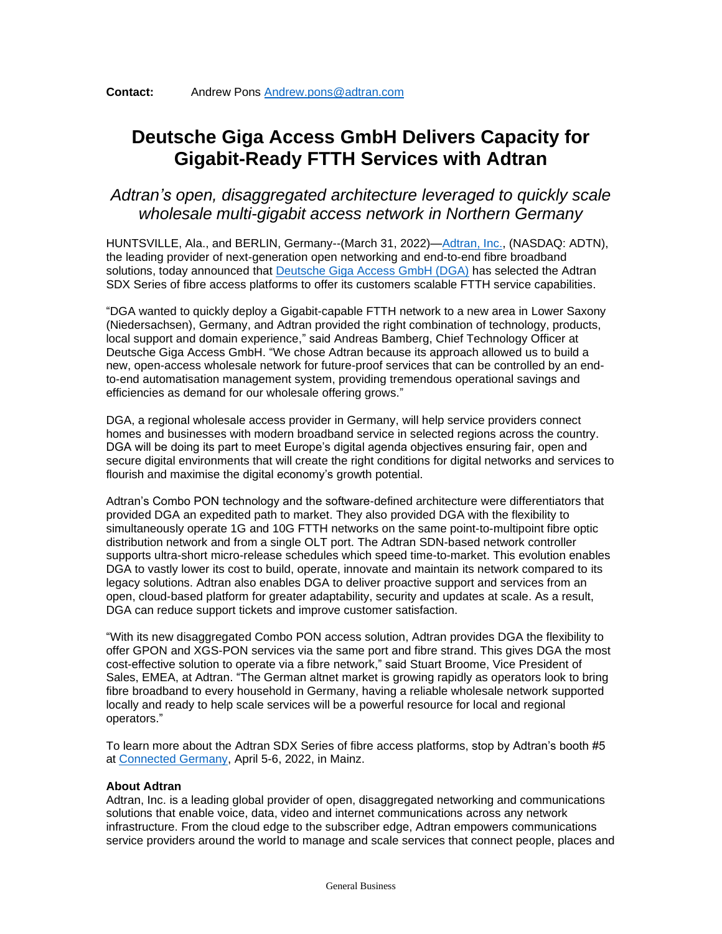## **Deutsche Giga Access GmbH Delivers Capacity for Gigabit-Ready FTTH Services with Adtran**

## *Adtran's open, disaggregated architecture leveraged to quickly scale wholesale multi-gigabit access network in Northern Germany*

HUNTSVILLE, Ala., and BERLIN, Germany--(March 31, 2022)[—Adtran, Inc.,](https://www.adtran.com/) (NASDAQ: ADTN), the leading provider of next-generation open networking and end-to-end fibre broadband solutions, today announced that [Deutsche Giga Access GmbH \(DGA\)](https://deutsche-giga-access.de/) has selected the Adtran SDX Series of fibre access platforms to offer its customers scalable FTTH service capabilities.

"DGA wanted to quickly deploy a Gigabit-capable FTTH network to a new area in Lower Saxony (Niedersachsen), Germany, and Adtran provided the right combination of technology, products, local support and domain experience," said Andreas Bamberg, Chief Technology Officer at Deutsche Giga Access GmbH. "We chose Adtran because its approach allowed us to build a new, open-access wholesale network for future-proof services that can be controlled by an endto-end automatisation management system, providing tremendous operational savings and efficiencies as demand for our wholesale offering grows."

DGA, a regional wholesale access provider in Germany, will help service providers connect homes and businesses with modern broadband service in selected regions across the country. DGA will be doing its part to meet Europe's digital agenda objectives ensuring fair, open and secure digital environments that will create the right conditions for digital networks and services to flourish and maximise the digital economy's growth potential.

Adtran's Combo PON technology and the software-defined architecture were differentiators that provided DGA an expedited path to market. They also provided DGA with the flexibility to simultaneously operate 1G and 10G FTTH networks on the same point-to-multipoint fibre optic distribution network and from a single OLT port. The Adtran SDN-based network controller supports ultra-short micro-release schedules which speed time-to-market. This evolution enables DGA to vastly lower its cost to build, operate, innovate and maintain its network compared to its legacy solutions. Adtran also enables DGA to deliver proactive support and services from an open, cloud-based platform for greater adaptability, security and updates at scale. As a result, DGA can reduce support tickets and improve customer satisfaction.

"With its new disaggregated Combo PON access solution, Adtran provides DGA the flexibility to offer GPON and XGS-PON services via the same port and fibre strand. This gives DGA the most cost-effective solution to operate via a fibre network," said Stuart Broome, Vice President of Sales, EMEA, at Adtran. "The German altnet market is growing rapidly as operators look to bring fibre broadband to every household in Germany, having a reliable wholesale network supported locally and ready to help scale services will be a powerful resource for local and regional operators."

To learn more about the Adtran SDX Series of fibre access platforms, stop by Adtran's booth #5 at [Connected Germany,](https://www.terrapinn.com/conference/connected-germany/ENG-Pre-Event-Seminar-Stadtwerke-Glasfaser-Forum.stm) April 5-6, 2022, in Mainz.

## **About Adtran**

Adtran, Inc. is a leading global provider of open, disaggregated networking and communications solutions that enable voice, data, video and internet communications across any network infrastructure. From the cloud edge to the subscriber edge, Adtran empowers communications service providers around the world to manage and scale services that connect people, places and